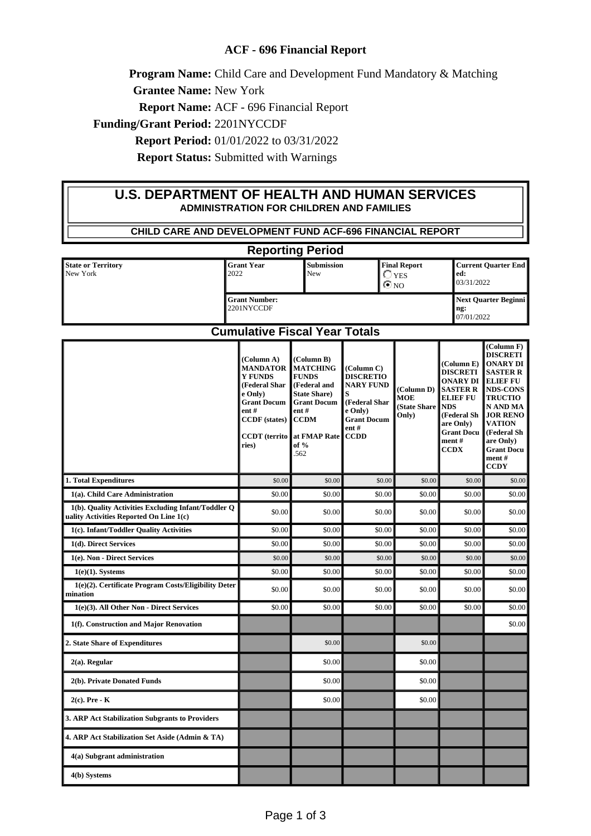## **ACF - 696 Financial Report**

**Program Name:** Child Care and Development Fund Mandatory & Matching

**Grantee Name:** New York

**Report Name:** ACF - 696 Financial Report

**Funding/Grant Period:** 2201NYCCDF

**Report Period:** 01/01/2022 to 03/31/2022

**Report Status:** Submitted with Warnings

## **U.S. DEPARTMENT OF HEALTH AND HUMAN SERVICES ADMINISTRATION FOR CHILDREN AND FAMILIES**

| CHILD CARE AND DEVELOPMENT FUND ACF-696 FINANCIAL REPORT                                       |                                                                                                                                                                      |                                                                                                                                                                    |                                                                                                                                     |                                                     |                                                                                                                                                                         |                                                                                                                                                                                                                                                      |  |
|------------------------------------------------------------------------------------------------|----------------------------------------------------------------------------------------------------------------------------------------------------------------------|--------------------------------------------------------------------------------------------------------------------------------------------------------------------|-------------------------------------------------------------------------------------------------------------------------------------|-----------------------------------------------------|-------------------------------------------------------------------------------------------------------------------------------------------------------------------------|------------------------------------------------------------------------------------------------------------------------------------------------------------------------------------------------------------------------------------------------------|--|
| <b>Reporting Period</b>                                                                        |                                                                                                                                                                      |                                                                                                                                                                    |                                                                                                                                     |                                                     |                                                                                                                                                                         |                                                                                                                                                                                                                                                      |  |
| <b>State or Territory</b><br>New York                                                          | <b>Grant Year</b><br>2022                                                                                                                                            | <b>Submission</b><br>New                                                                                                                                           |                                                                                                                                     | <b>Final Report</b><br>$\bigcirc$ yes<br>$\odot$ NO | ed:                                                                                                                                                                     | <b>Current Quarter End</b><br>03/31/2022                                                                                                                                                                                                             |  |
|                                                                                                | <b>Grant Number:</b><br>2201NYCCDF                                                                                                                                   |                                                                                                                                                                    |                                                                                                                                     |                                                     | ng:                                                                                                                                                                     | <b>Next Quarter Beginni</b><br>07/01/2022                                                                                                                                                                                                            |  |
| <b>Cumulative Fiscal Year Totals</b>                                                           |                                                                                                                                                                      |                                                                                                                                                                    |                                                                                                                                     |                                                     |                                                                                                                                                                         |                                                                                                                                                                                                                                                      |  |
|                                                                                                | (Column A)<br><b>MANDATOR</b><br><b>Y FUNDS</b><br>(Federal Shar<br>e Only)<br><b>Grant Docum</b><br>ent#<br><b>CCDF</b> (states)<br><b>CCDT</b> (territo  <br>ries) | (Column B)<br><b>MATCHING</b><br><b>FUNDS</b><br>(Federal and<br><b>State Share</b> )<br><b>Grant Docum</b><br>ent#<br><b>CCDM</b><br>at FMAP Rate<br>of %<br>.562 | (Column C)<br><b>DISCRETIO</b><br><b>NARY FUND</b><br>s<br>(Federal Shar<br>e Only)<br><b>Grant Docum</b><br>$ent$ #<br><b>CCDD</b> | (Column D)<br><b>MOE</b><br>(State Share<br>Only)   | (Column E)<br><b>DISCRETI</b><br>ONARY DI<br><b>SASTER R</b><br><b>ELIEF FU</b><br><b>NDS</b><br>(Federal Sh<br>are Only)<br><b>Grant Docu</b><br>ment #<br><b>CCDX</b> | (Column F)<br><b>DISCRETI</b><br><b>ONARY DI</b><br><b>SASTER R</b><br><b>ELIEF FU</b><br><b>NDS-CONS</b><br><b>TRUCTIO</b><br>N AND MA<br><b>JOR RENO</b><br><b>VATION</b><br>(Federal Sh<br>are Only)<br><b>Grant Docu</b><br>ment#<br><b>CCDY</b> |  |
| 1. Total Expenditures                                                                          | \$0.00                                                                                                                                                               | \$0.00                                                                                                                                                             | \$0.00                                                                                                                              | \$0.00                                              | \$0.00                                                                                                                                                                  | \$0.00                                                                                                                                                                                                                                               |  |
| 1(a). Child Care Administration                                                                | \$0.00                                                                                                                                                               | \$0.00                                                                                                                                                             | \$0.00                                                                                                                              | \$0.00                                              | \$0.00                                                                                                                                                                  | \$0.00                                                                                                                                                                                                                                               |  |
| 1(b). Quality Activities Excluding Infant/Toddler Q<br>uality Activities Reported On Line 1(c) | \$0.00                                                                                                                                                               | \$0.00                                                                                                                                                             | \$0.00                                                                                                                              | \$0.00                                              | \$0.00                                                                                                                                                                  | \$0.00                                                                                                                                                                                                                                               |  |
| 1(c). Infant/Toddler Quality Activities                                                        | \$0.00                                                                                                                                                               | \$0.00                                                                                                                                                             | \$0.00                                                                                                                              | \$0.00                                              | \$0.00                                                                                                                                                                  | \$0.00                                                                                                                                                                                                                                               |  |
| 1(d). Direct Services                                                                          | \$0.00                                                                                                                                                               | \$0.00                                                                                                                                                             | \$0.00                                                                                                                              | \$0.00                                              | \$0.00                                                                                                                                                                  | \$0.00                                                                                                                                                                                                                                               |  |
| 1(e). Non - Direct Services                                                                    | \$0.00                                                                                                                                                               | \$0.00                                                                                                                                                             | \$0.00                                                                                                                              | \$0.00                                              | \$0.00                                                                                                                                                                  | \$0.00                                                                                                                                                                                                                                               |  |
| $1(e)(1)$ . Systems<br>1(e)(2). Certificate Program Costs/Eligibility Deter<br>mination        | \$0.00<br>\$0.00                                                                                                                                                     | \$0.00<br>\$0.00                                                                                                                                                   | \$0.00<br>\$0.00                                                                                                                    | \$0.00<br>\$0.00                                    | \$0.00<br>\$0.00                                                                                                                                                        | \$0.00<br>\$0.00                                                                                                                                                                                                                                     |  |
| 1(e)(3). All Other Non - Direct Services                                                       | \$0.00                                                                                                                                                               | \$0.00                                                                                                                                                             | \$0.00                                                                                                                              | \$0.00                                              | \$0.00                                                                                                                                                                  | \$0.00                                                                                                                                                                                                                                               |  |
| 1(f). Construction and Major Renovation                                                        |                                                                                                                                                                      |                                                                                                                                                                    |                                                                                                                                     |                                                     |                                                                                                                                                                         | \$0.00                                                                                                                                                                                                                                               |  |
| 2. State Share of Expenditures                                                                 |                                                                                                                                                                      | \$0.00                                                                                                                                                             |                                                                                                                                     | \$0.00                                              |                                                                                                                                                                         |                                                                                                                                                                                                                                                      |  |
| $2(a)$ . Regular                                                                               |                                                                                                                                                                      | \$0.00                                                                                                                                                             |                                                                                                                                     | \$0.00                                              |                                                                                                                                                                         |                                                                                                                                                                                                                                                      |  |
| 2(b). Private Donated Funds                                                                    |                                                                                                                                                                      | \$0.00                                                                                                                                                             |                                                                                                                                     | \$0.00                                              |                                                                                                                                                                         |                                                                                                                                                                                                                                                      |  |
| $2(c)$ . Pre - K                                                                               |                                                                                                                                                                      | \$0.00                                                                                                                                                             |                                                                                                                                     | \$0.00                                              |                                                                                                                                                                         |                                                                                                                                                                                                                                                      |  |
| 3. ARP Act Stabilization Subgrants to Providers                                                |                                                                                                                                                                      |                                                                                                                                                                    |                                                                                                                                     |                                                     |                                                                                                                                                                         |                                                                                                                                                                                                                                                      |  |
| 4. ARP Act Stabilization Set Aside (Admin & TA)                                                |                                                                                                                                                                      |                                                                                                                                                                    |                                                                                                                                     |                                                     |                                                                                                                                                                         |                                                                                                                                                                                                                                                      |  |
| 4(a) Subgrant administration                                                                   |                                                                                                                                                                      |                                                                                                                                                                    |                                                                                                                                     |                                                     |                                                                                                                                                                         |                                                                                                                                                                                                                                                      |  |
| 4(b) Systems                                                                                   |                                                                                                                                                                      |                                                                                                                                                                    |                                                                                                                                     |                                                     |                                                                                                                                                                         |                                                                                                                                                                                                                                                      |  |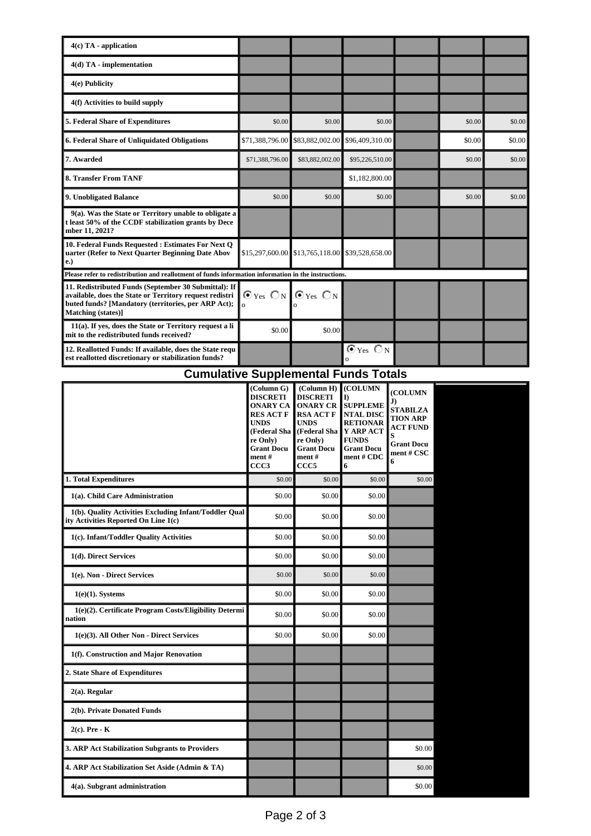| $4(c)$ TA - application                                                                                                                                                                      |                                                                  |                 |                                                      |  |        |        |
|----------------------------------------------------------------------------------------------------------------------------------------------------------------------------------------------|------------------------------------------------------------------|-----------------|------------------------------------------------------|--|--------|--------|
| $4(d)$ TA - implementation                                                                                                                                                                   |                                                                  |                 |                                                      |  |        |        |
| 4(e) Publicity                                                                                                                                                                               |                                                                  |                 |                                                      |  |        |        |
| 4(f) Activities to build supply                                                                                                                                                              |                                                                  |                 |                                                      |  |        |        |
| 5. Federal Share of Expenditures                                                                                                                                                             | \$0.00                                                           | \$0.00          | \$0.00                                               |  | \$0.00 | \$0.00 |
| 6. Federal Share of Unliquidated Obligations                                                                                                                                                 | \$71,388,796.00                                                  | \$83,882,002.00 | \$96,409,310.00                                      |  | \$0.00 | \$0.00 |
| 7. Awarded                                                                                                                                                                                   | \$71,388,796.00                                                  | \$83,882,002.00 | \$95,226,510.00                                      |  | \$0.00 | \$0.00 |
| 8. Transfer From TANF                                                                                                                                                                        |                                                                  |                 | \$1,182,800.00                                       |  |        |        |
| 9. Unobligated Balance                                                                                                                                                                       | \$0.00                                                           | \$0.00          | \$0.00                                               |  | \$0.00 | \$0.00 |
| 9(a). Was the State or Territory unable to obligate a<br>t least 50% of the CCDF stabilization grants by Dece<br>mber 11, 2021?                                                              |                                                                  |                 |                                                      |  |        |        |
| 10. Federal Funds Requested : Estimates For Next Q<br>uarter (Refer to Next Quarter Beginning Date Abov<br>e.)                                                                               |                                                                  |                 | $$15,297,600.00$ \$13,765,118.00 \$39,528,658.00     |  |        |        |
| Please refer to redistribution and reallotment of funds information information in the instructions.                                                                                         |                                                                  |                 |                                                      |  |        |        |
| 11. Redistributed Funds (September 30 Submittal): If<br>available, does the State or Territory request redistri<br>buted funds? [Mandatory (territories, per ARP Act);<br>Matching (states)] | $\odot$ Yes $\bigcirc$ N $\bigcirc$ Yes $\bigcirc$ N<br>$\Omega$ |                 |                                                      |  |        |        |
| 11(a). If yes, does the State or Territory request a li<br>mit to the redistributed funds received?                                                                                          | \$0.00                                                           | \$0.00          |                                                      |  |        |        |
| 12. Reallotted Funds: If available, does the State requ<br>est reallotted discretionary or stabilization funds?                                                                              |                                                                  |                 | $\mathbf{\Theta}$ Yes $\mathbf{\Theta}$ N<br>$\circ$ |  |        |        |

## **Cumulative Supplemental Funds Totals**

|                                                                                                | (Column G)<br><b>DISCRETI</b><br><b>ONARY CA</b><br><b>RES ACT F</b><br><b>UNDS</b><br>(Federal Sha<br>re Only)<br><b>Grant Docu</b><br>ment #<br>CCC3 | (Column H)<br><b>DISCRETI</b><br><b>ONARY CR</b><br><b>RSA ACT F</b><br><b>UNDS</b><br>(Federal Sha<br>re Only)<br><b>Grant Docu</b><br>ment#<br>CCC <sub>5</sub> | (COLUMN<br>I)<br><b>SUPPLEME</b><br><b>NTAL DISC</b><br><b>RETIONAR</b><br>Y ARP ACT<br><b>FUNDS</b><br><b>Grant Docu</b><br>ment # CDC<br>6 | (COLUMN<br>J)<br><b>STABILZA</b><br><b>TION ARP</b><br><b>ACT FUND</b><br>S<br><b>Grant Docu</b><br>ment # CSC<br>6 |  |
|------------------------------------------------------------------------------------------------|--------------------------------------------------------------------------------------------------------------------------------------------------------|-------------------------------------------------------------------------------------------------------------------------------------------------------------------|----------------------------------------------------------------------------------------------------------------------------------------------|---------------------------------------------------------------------------------------------------------------------|--|
| 1. Total Expenditures                                                                          | \$0.00                                                                                                                                                 | \$0.00                                                                                                                                                            | \$0.00                                                                                                                                       | \$0.00                                                                                                              |  |
| 1(a). Child Care Administration                                                                | \$0.00                                                                                                                                                 | \$0.00                                                                                                                                                            | \$0.00                                                                                                                                       |                                                                                                                     |  |
| 1(b). Quality Activities Excluding Infant/Toddler Qual<br>ity Activities Reported On Line 1(c) | \$0.00                                                                                                                                                 | \$0.00                                                                                                                                                            | \$0.00                                                                                                                                       |                                                                                                                     |  |
| 1(c). Infant/Toddler Quality Activities                                                        | \$0.00                                                                                                                                                 | \$0.00                                                                                                                                                            | \$0.00                                                                                                                                       |                                                                                                                     |  |
| 1(d). Direct Services                                                                          | \$0.00                                                                                                                                                 | \$0.00                                                                                                                                                            | \$0.00                                                                                                                                       |                                                                                                                     |  |
| 1(e). Non - Direct Services                                                                    | \$0.00                                                                                                                                                 | \$0.00                                                                                                                                                            | \$0.00                                                                                                                                       |                                                                                                                     |  |
| $1(e)(1)$ . Systems                                                                            | \$0.00                                                                                                                                                 | \$0.00                                                                                                                                                            | \$0.00                                                                                                                                       |                                                                                                                     |  |
| 1(e)(2). Certificate Program Costs/Eligibility Determi<br>nation                               | \$0.00                                                                                                                                                 | \$0.00                                                                                                                                                            | \$0.00                                                                                                                                       |                                                                                                                     |  |
| 1(e)(3). All Other Non - Direct Services                                                       | \$0.00                                                                                                                                                 | \$0.00                                                                                                                                                            | \$0.00                                                                                                                                       |                                                                                                                     |  |
| 1(f). Construction and Major Renovation                                                        |                                                                                                                                                        |                                                                                                                                                                   |                                                                                                                                              |                                                                                                                     |  |
| 2. State Share of Expenditures                                                                 |                                                                                                                                                        |                                                                                                                                                                   |                                                                                                                                              |                                                                                                                     |  |
| $2(a)$ . Regular                                                                               |                                                                                                                                                        |                                                                                                                                                                   |                                                                                                                                              |                                                                                                                     |  |
| 2(b). Private Donated Funds                                                                    |                                                                                                                                                        |                                                                                                                                                                   |                                                                                                                                              |                                                                                                                     |  |
| $2(c)$ . Pre - K                                                                               |                                                                                                                                                        |                                                                                                                                                                   |                                                                                                                                              |                                                                                                                     |  |
| 3. ARP Act Stabilization Subgrants to Providers                                                |                                                                                                                                                        |                                                                                                                                                                   |                                                                                                                                              | \$0.00                                                                                                              |  |
| 4. ARP Act Stabilization Set Aside (Admin & TA)                                                |                                                                                                                                                        |                                                                                                                                                                   |                                                                                                                                              | \$0.00                                                                                                              |  |
| 4(a). Subgrant administration                                                                  |                                                                                                                                                        |                                                                                                                                                                   |                                                                                                                                              | \$0.00                                                                                                              |  |